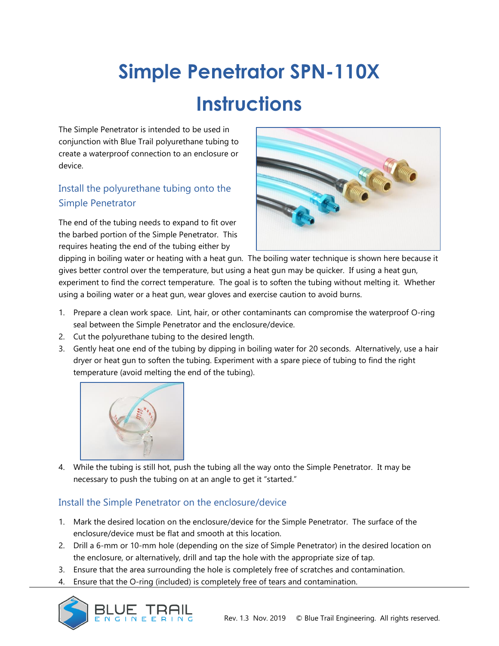## **Simple Penetrator SPN-110X Instructions**

The Simple Penetrator is intended to be used in conjunction with Blue Trail polyurethane tubing to create a waterproof connection to an enclosure or device.

## Install the polyurethane tubing onto the Simple Penetrator

The end of the tubing needs to expand to fit over the barbed portion of the Simple Penetrator. This requires heating the end of the tubing either by



dipping in boiling water or heating with a heat gun. The boiling water technique is shown here because it gives better control over the temperature, but using a heat gun may be quicker. If using a heat gun, experiment to find the correct temperature. The goal is to soften the tubing without melting it. Whether using a boiling water or a heat gun, wear gloves and exercise caution to avoid burns.

- 1. Prepare a clean work space. Lint, hair, or other contaminants can compromise the waterproof O-ring seal between the Simple Penetrator and the enclosure/device.
- 2. Cut the polyurethane tubing to the desired length.
- 3. Gently heat one end of the tubing by dipping in boiling water for 20 seconds. Alternatively, use a hair dryer or heat gun to soften the tubing. Experiment with a spare piece of tubing to find the right temperature (avoid melting the end of the tubing).



4. While the tubing is still hot, push the tubing all the way onto the Simple Penetrator. It may be necessary to push the tubing on at an angle to get it "started."

## Install the Simple Penetrator on the enclosure/device

- 1. Mark the desired location on the enclosure/device for the Simple Penetrator. The surface of the enclosure/device must be flat and smooth at this location.
- 2. Drill a 6-mm or 10-mm hole (depending on the size of Simple Penetrator) in the desired location on the enclosure, or alternatively, drill and tap the hole with the appropriate size of tap.
- 3. Ensure that the area surrounding the hole is completely free of scratches and contamination.
- 4. Ensure that the O-ring (included) is completely free of tears and contamination.